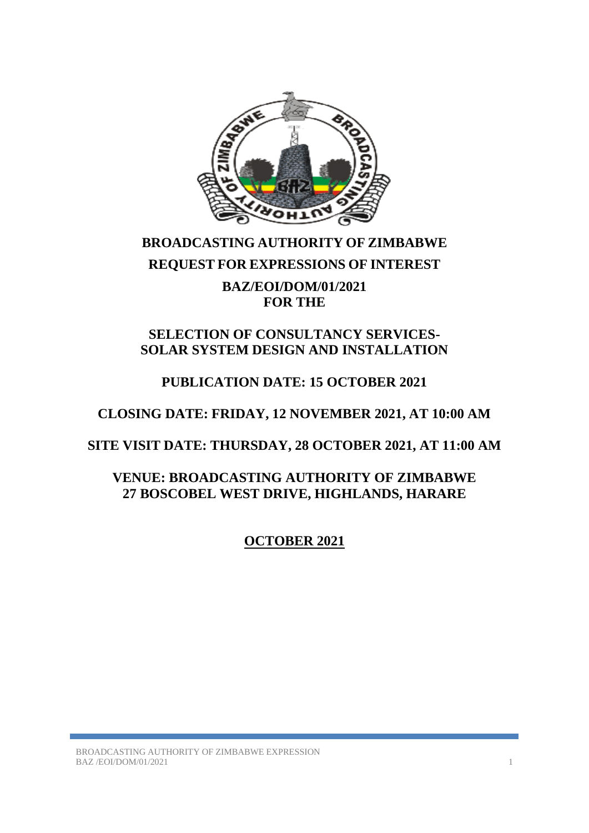

# **BROADCASTING AUTHORITY OF ZIMBABWE REQUEST FOR EXPRESSIONS OF INTEREST BAZ/EOI/DOM/01/2021 FOR THE**

## **SELECTION OF CONSULTANCY SERVICES-SOLAR SYSTEM DESIGN AND INSTALLATION**

## **PUBLICATION DATE: 15 OCTOBER 2021**

## **CLOSING DATE: FRIDAY, 12 NOVEMBER 2021, AT 10:00 AM**

## **SITE VISIT DATE: THURSDAY, 28 OCTOBER 2021, AT 11:00 AM**

## **VENUE: BROADCASTING AUTHORITY OF ZIMBABWE 27 BOSCOBEL WEST DRIVE, HIGHLANDS, HARARE**

**OCTOBER 2021**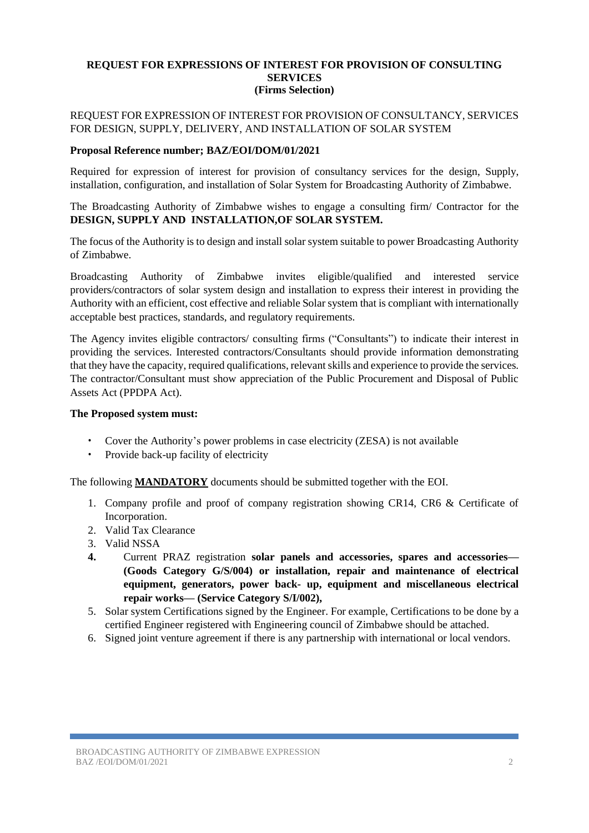#### **REQUEST FOR EXPRESSIONS OF INTEREST FOR PROVISION OF CONSULTING SERVICES (Firms Selection)**

### REQUEST FOR EXPRESSION OF INTEREST FOR PROVISION OF CONSULTANCY, SERVICES FOR DESIGN, SUPPLY, DELIVERY, AND INSTALLATION OF SOLAR SYSTEM

### **Proposal Reference number; BAZ/EOI/DOM/01/2021**

Required for expression of interest for provision of consultancy services for the design, Supply, installation, configuration, and installation of Solar System for Broadcasting Authority of Zimbabwe.

The Broadcasting Authority of Zimbabwe wishes to engage a consulting firm/ Contractor for the **DESIGN, SUPPLY AND INSTALLATION,OF SOLAR SYSTEM.**

The focus of the Authority is to design and install solar system suitable to power Broadcasting Authority of Zimbabwe.

Broadcasting Authority of Zimbabwe invites eligible/qualified and interested service providers/contractors of solar system design and installation to express their interest in providing the Authority with an efficient, cost effective and reliable Solar system that is compliant with internationally acceptable best practices, standards, and regulatory requirements.

The Agency invites eligible contractors/ consulting firms ("Consultants") to indicate their interest in providing the services. Interested contractors/Consultants should provide information demonstrating that they have the capacity, required qualifications, relevant skills and experience to provide the services. The contractor/Consultant must show appreciation of the Public Procurement and Disposal of Public Assets Act (PPDPA Act).

### **The Proposed system must:**

- Cover the Authority's power problems in case electricity (ZESA) is not available
- Provide back-up facility of electricity

The following **MANDATORY** documents should be submitted together with the EOI.

- 1. Company profile and proof of company registration showing CR14, CR6 & Certificate of Incorporation.
- 2. Valid Tax Clearance
- 3. Valid NSSA
- **4.** Current PRAZ registration **solar panels and accessories, spares and accessories— (Goods Category G/S/004) or installation, repair and maintenance of electrical equipment, generators, power back- up, equipment and miscellaneous electrical repair works— (Service Category S/I/002),**
- 5. Solar system Certifications signed by the Engineer. For example, Certifications to be done by a certified Engineer registered with Engineering council of Zimbabwe should be attached.
- 6. Signed joint venture agreement if there is any partnership with international or local vendors.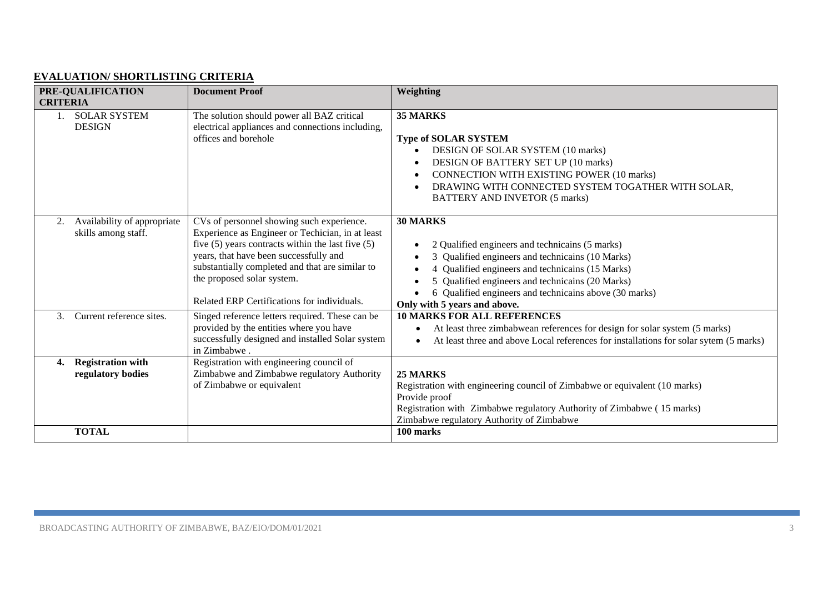### **EVALUATION/ SHORTLISTING CRITERIA**

| PRE-QUALIFICATION                                        | <b>Document Proof</b>                                                                                                                                                                                                                                                                                                            | <b>Weighting</b>                                                                                                                                                                                                                                                                                              |
|----------------------------------------------------------|----------------------------------------------------------------------------------------------------------------------------------------------------------------------------------------------------------------------------------------------------------------------------------------------------------------------------------|---------------------------------------------------------------------------------------------------------------------------------------------------------------------------------------------------------------------------------------------------------------------------------------------------------------|
| <b>CRITERIA</b>                                          |                                                                                                                                                                                                                                                                                                                                  |                                                                                                                                                                                                                                                                                                               |
| <b>SOLAR SYSTEM</b><br><b>DESIGN</b>                     | The solution should power all BAZ critical<br>electrical appliances and connections including,<br>offices and borehole                                                                                                                                                                                                           | 35 MARKS<br><b>Type of SOLAR SYSTEM</b><br>DESIGN OF SOLAR SYSTEM (10 marks)<br>DESIGN OF BATTERY SET UP (10 marks)<br><b>CONNECTION WITH EXISTING POWER (10 marks)</b><br>DRAWING WITH CONNECTED SYSTEM TOGATHER WITH SOLAR,<br><b>BATTERY AND INVETOR (5 marks)</b>                                         |
| Availability of appropriate<br>2.<br>skills among staff. | CVs of personnel showing such experience.<br>Experience as Engineer or Techician, in at least<br>five $(5)$ years contracts within the last five $(5)$<br>years, that have been successfully and<br>substantially completed and that are similar to<br>the proposed solar system.<br>Related ERP Certifications for individuals. | 30 MARKS<br>2 Qualified engineers and technicains (5 marks)<br>3 Qualified engineers and technicains (10 Marks)<br>Qualified engineers and technicains (15 Marks)<br>Qualified engineers and technicains (20 Marks)<br>6 Qualified engineers and technicains above (30 marks)<br>Only with 5 years and above. |
| Current reference sites.<br>$\mathcal{E}$                | Singed reference letters required. These can be<br>provided by the entities where you have<br>successfully designed and installed Solar system<br>in Zimbabwe.                                                                                                                                                                   | <b>10 MARKS FOR ALL REFERENCES</b><br>At least three zimbabwean references for design for solar system (5 marks)<br>At least three and above Local references for installations for solar sytem (5 marks)                                                                                                     |
| <b>Registration with</b><br>4.<br>regulatory bodies      | Registration with engineering council of<br>Zimbabwe and Zimbabwe regulatory Authority<br>of Zimbabwe or equivalent                                                                                                                                                                                                              | 25 MARKS<br>Registration with engineering council of Zimbabwe or equivalent (10 marks)<br>Provide proof<br>Registration with Zimbabwe regulatory Authority of Zimbabwe (15 marks)<br>Zimbabwe regulatory Authority of Zimbabwe                                                                                |
| <b>TOTAL</b>                                             |                                                                                                                                                                                                                                                                                                                                  | 100 marks                                                                                                                                                                                                                                                                                                     |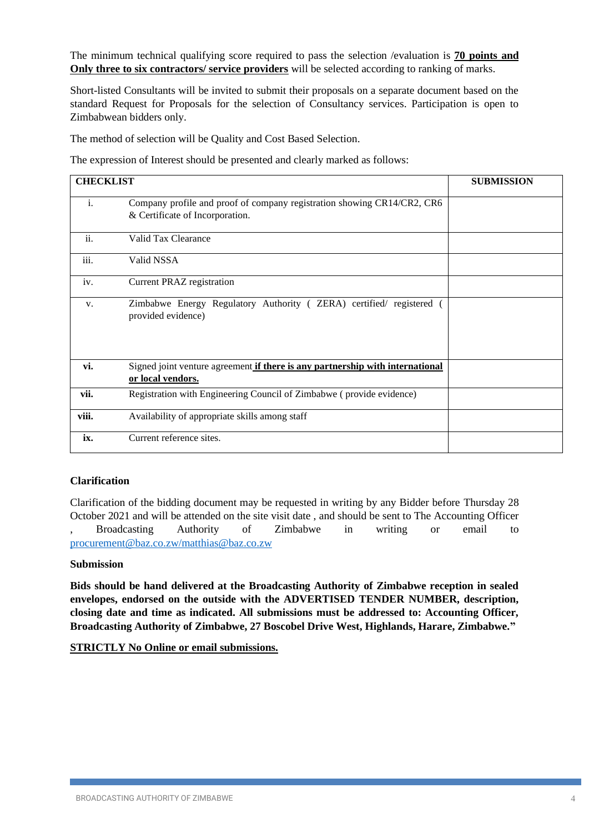The minimum technical qualifying score required to pass the selection /evaluation is **70 points and Only three to six contractors/ service providers** will be selected according to ranking of marks.

Short-listed Consultants will be invited to submit their proposals on a separate document based on the standard Request for Proposals for the selection of Consultancy services. Participation is open to Zimbabwean bidders only.

The method of selection will be Quality and Cost Based Selection.

The expression of Interest should be presented and clearly marked as follows:

| <b>CHECKLIST</b> |                                                                                                            | <b>SUBMISSION</b> |
|------------------|------------------------------------------------------------------------------------------------------------|-------------------|
| i.               | Company profile and proof of company registration showing CR14/CR2, CR6<br>& Certificate of Incorporation. |                   |
| ii.              | Valid Tax Clearance                                                                                        |                   |
| iii.             | Valid NSSA                                                                                                 |                   |
| iv.              | <b>Current PRAZ registration</b>                                                                           |                   |
| V.               | Zimbabwe Energy Regulatory Authority (ZERA) certified/registered<br>provided evidence)                     |                   |
| vi.              | Signed joint venture agreement if there is any partnership with international<br>or local vendors.         |                   |
| vii.             | Registration with Engineering Council of Zimbabwe (provide evidence)                                       |                   |
| viii.            | Availability of appropriate skills among staff                                                             |                   |
| ix.              | Current reference sites.                                                                                   |                   |

### **Clarification**

Clarification of the bidding document may be requested in writing by any Bidder before Thursday 28 October 2021 and will be attended on the site visit date , and should be sent to The Accounting Officer , Broadcasting Authority of Zimbabwe in writing or email to [procurement@baz.co.zw/matthias@baz.co.zw](mailto:procurement@baz.co.zw/matthias@baz.co.zw)

#### **Submission**

**Bids should be hand delivered at the Broadcasting Authority of Zimbabwe reception in sealed envelopes, endorsed on the outside with the ADVERTISED TENDER NUMBER, description, closing date and time as indicated. All submissions must be addressed to: Accounting Officer, Broadcasting Authority of Zimbabwe, 27 Boscobel Drive West, Highlands, Harare, Zimbabwe."**

**STRICTLY No Online or email submissions.**